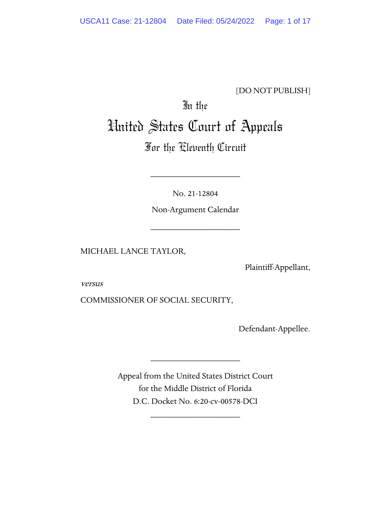# [DO NOT PUBLISH]

# In the United States Court of Appeals

# For the Eleventh Circuit

No. 21-12804

\_\_\_\_\_\_\_\_\_\_\_\_\_\_\_\_\_\_\_\_

Non-Argument Calendar

\_\_\_\_\_\_\_\_\_\_\_\_\_\_\_\_\_\_\_\_

MICHAEL LANCE TAYLOR,

Plaintiff-Appellant,

versus

COMMISSIONER OF SOCIAL SECURITY,

Defendant-Appellee.

Appeal from the United States District Court for the Middle District of Florida D.C. Docket No. 6:20-cv-00578-DCI

\_\_\_\_\_\_\_\_\_\_\_\_\_\_\_\_\_\_\_\_

\_\_\_\_\_\_\_\_\_\_\_\_\_\_\_\_\_\_\_\_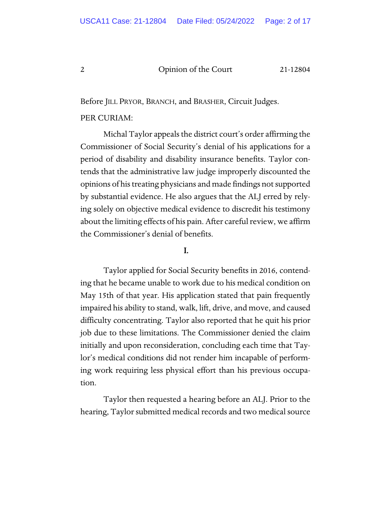Before JILL PRYOR, BRANCH, and BRASHER, Circuit Judges.

#### PER CURIAM:

Michal Taylor appeals the district court's order affirming the Commissioner of Social Security's denial of his applications for a period of disability and disability insurance benefits. Taylor contends that the administrative law judge improperly discounted the opinions of his treating physicians and made findings not supported by substantial evidence. He also argues that the ALJ erred by relying solely on objective medical evidence to discredit his testimony about the limiting effects of his pain. After careful review, we affirm the Commissioner's denial of benefits.

## I.

Taylor applied for Social Security benefits in 2016, contending that he became unable to work due to his medical condition on May 15th of that year. His application stated that pain frequently impaired his ability to stand, walk, lift, drive, and move, and caused difficulty concentrating. Taylor also reported that he quit his prior job due to these limitations. The Commissioner denied the claim initially and upon reconsideration, concluding each time that Taylor's medical conditions did not render him incapable of performing work requiring less physical effort than his previous occupation.

Taylor then requested a hearing before an ALJ. Prior to the hearing, Taylor submitted medical records and two medical source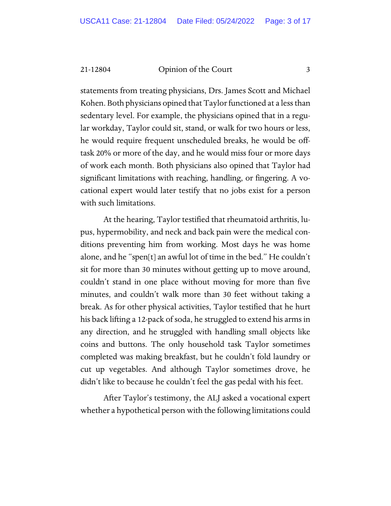statements from treating physicians, Drs. James Scott and Michael Kohen. Both physicians opined that Taylor functioned at a less than sedentary level. For example, the physicians opined that in a regular workday, Taylor could sit, stand, or walk for two hours or less, he would require frequent unscheduled breaks, he would be offtask 20% or more of the day, and he would miss four or more days of work each month. Both physicians also opined that Taylor had significant limitations with reaching, handling, or fingering. A vocational expert would later testify that no jobs exist for a person with such limitations.

At the hearing, Taylor testified that rheumatoid arthritis, lupus, hypermobility, and neck and back pain were the medical conditions preventing him from working. Most days he was home alone, and he "spen[t] an awful lot of time in the bed." He couldn't sit for more than 30 minutes without getting up to move around, couldn't stand in one place without moving for more than five minutes, and couldn't walk more than 30 feet without taking a break. As for other physical activities, Taylor testified that he hurt his back lifting a 12-pack of soda, he struggled to extend his arms in any direction, and he struggled with handling small objects like coins and buttons. The only household task Taylor sometimes completed was making breakfast, but he couldn't fold laundry or cut up vegetables. And although Taylor sometimes drove, he didn't like to because he couldn't feel the gas pedal with his feet.

After Taylor's testimony, the ALJ asked a vocational expert whether a hypothetical person with the following limitations could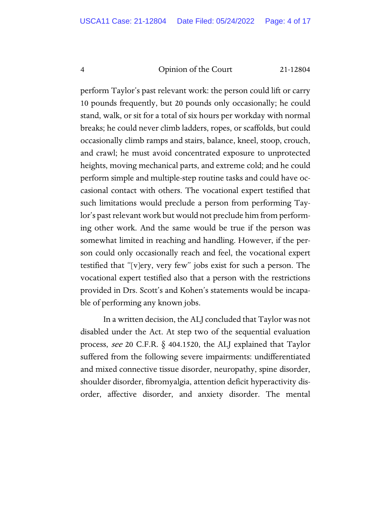perform Taylor's past relevant work: the person could lift or carry 10 pounds frequently, but 20 pounds only occasionally; he could stand, walk, or sit for a total of six hours per workday with normal breaks; he could never climb ladders, ropes, or scaffolds, but could occasionally climb ramps and stairs, balance, kneel, stoop, crouch, and crawl; he must avoid concentrated exposure to unprotected heights, moving mechanical parts, and extreme cold; and he could perform simple and multiple-step routine tasks and could have occasional contact with others. The vocational expert testified that such limitations would preclude a person from performing Taylor's past relevant work but would not preclude him from performing other work. And the same would be true if the person was somewhat limited in reaching and handling. However, if the person could only occasionally reach and feel, the vocational expert testified that "[v]ery, very few" jobs exist for such a person. The vocational expert testified also that a person with the restrictions provided in Drs. Scott's and Kohen's statements would be incapable of performing any known jobs.

In a written decision, the ALJ concluded that Taylor was not disabled under the Act. At step two of the sequential evaluation process, see 20 C.F.R. § 404.1520, the ALJ explained that Taylor suffered from the following severe impairments: undifferentiated and mixed connective tissue disorder, neuropathy, spine disorder, shoulder disorder, fibromyalgia, attention deficit hyperactivity disorder, affective disorder, and anxiety disorder. The mental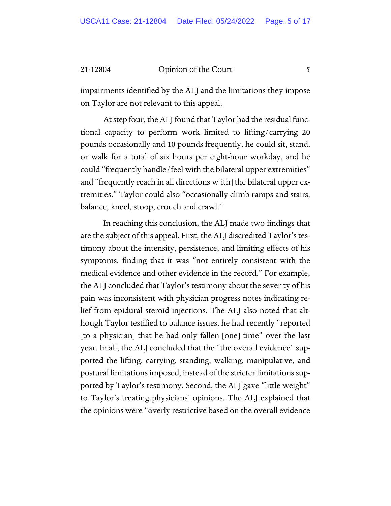impairments identified by the ALJ and the limitations they impose on Taylor are not relevant to this appeal.

At step four, the ALJ found that Taylor had the residual functional capacity to perform work limited to lifting/carrying 20 pounds occasionally and 10 pounds frequently, he could sit, stand, or walk for a total of six hours per eight-hour workday, and he could "frequently handle/feel with the bilateral upper extremities" and "frequently reach in all directions w[ith] the bilateral upper extremities." Taylor could also "occasionally climb ramps and stairs, balance, kneel, stoop, crouch and crawl."

In reaching this conclusion, the ALJ made two findings that are the subject of this appeal. First, the ALJ discredited Taylor's testimony about the intensity, persistence, and limiting effects of his symptoms, finding that it was "not entirely consistent with the medical evidence and other evidence in the record." For example, the ALJ concluded that Taylor's testimony about the severity of his pain was inconsistent with physician progress notes indicating relief from epidural steroid injections. The ALJ also noted that although Taylor testified to balance issues, he had recently "reported [to a physician] that he had only fallen [one] time" over the last year. In all, the ALJ concluded that the "the overall evidence" supported the lifting, carrying, standing, walking, manipulative, and postural limitations imposed, instead of the stricter limitations supported by Taylor's testimony. Second, the ALJ gave "little weight" to Taylor's treating physicians' opinions. The ALJ explained that the opinions were "overly restrictive based on the overall evidence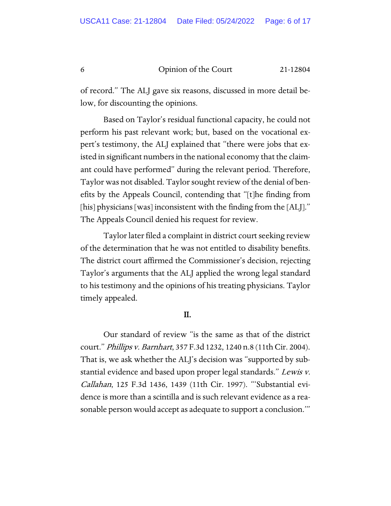of record." The ALJ gave six reasons, discussed in more detail below, for discounting the opinions.

Based on Taylor's residual functional capacity, he could not perform his past relevant work; but, based on the vocational expert's testimony, the ALJ explained that "there were jobs that existed in significant numbers in the national economy that the claimant could have performed" during the relevant period. Therefore, Taylor was not disabled. Taylor sought review of the denial of benefits by the Appeals Council, contending that "[t]he finding from [his] physicians [was] inconsistent with the finding from the [ALJ]." The Appeals Council denied his request for review.

Taylor later filed a complaint in district court seeking review of the determination that he was not entitled to disability benefits. The district court affirmed the Commissioner's decision, rejecting Taylor's arguments that the ALJ applied the wrong legal standard to his testimony and the opinions of his treating physicians. Taylor timely appealed.

#### II.

Our standard of review "is the same as that of the district court." Phillips v. Barnhart, 357 F.3d 1232, 1240 n.8 (11th Cir. 2004). That is, we ask whether the ALJ's decision was "supported by substantial evidence and based upon proper legal standards." Lewis v. Callahan, 125 F.3d 1436, 1439 (11th Cir. 1997). "'Substantial evidence is more than a scintilla and is such relevant evidence as a reasonable person would accept as adequate to support a conclusion.'"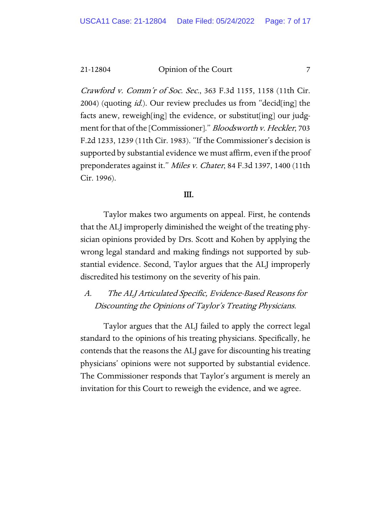Crawford v. Comm'r of Soc. Sec., 363 F.3d 1155, 1158 (11th Cir. 2004) (quoting *id.*). Our review precludes us from "decid[ing] the facts anew, reweigh[ing] the evidence, or substitut[ing] our judgment for that of the [Commissioner]." Bloodsworth v. Heckler, 703 F.2d 1233, 1239 (11th Cir. 1983). "If the Commissioner's decision is supported by substantial evidence we must affirm, even if the proof preponderates against it." Miles v. Chater, 84 F.3d 1397, 1400 (11th Cir. 1996).

#### III.

Taylor makes two arguments on appeal. First, he contends that the ALJ improperly diminished the weight of the treating physician opinions provided by Drs. Scott and Kohen by applying the wrong legal standard and making findings not supported by substantial evidence. Second, Taylor argues that the ALJ improperly discredited his testimony on the severity of his pain.

A. The ALJ Articulated Specific, Evidence-Based Reasons for Discounting the Opinions of Taylor's Treating Physicians.

Taylor argues that the ALJ failed to apply the correct legal standard to the opinions of his treating physicians. Specifically, he contends that the reasons the ALJ gave for discounting his treating physicians' opinions were not supported by substantial evidence. The Commissioner responds that Taylor's argument is merely an invitation for this Court to reweigh the evidence, and we agree.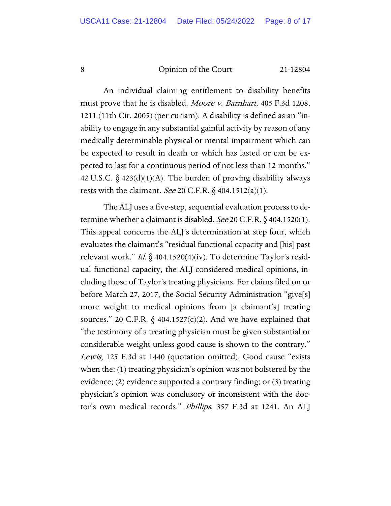An individual claiming entitlement to disability benefits must prove that he is disabled. Moore v. Barnhart, 405 F.3d 1208, 1211 (11th Cir. 2005) (per curiam). A disability is defined as an "inability to engage in any substantial gainful activity by reason of any medically determinable physical or mental impairment which can be expected to result in death or which has lasted or can be expected to last for a continuous period of not less than 12 months." 42 U.S.C.  $\S$  423(d)(1)(A). The burden of proving disability always rests with the claimant. *See* 20 C.F.R.  $\S$  404.1512(a)(1).

The ALJ uses a five-step, sequential evaluation process to determine whether a claimant is disabled. See 20 C.F.R.  $\S$  404.1520(1). This appeal concerns the ALJ's determination at step four, which evaluates the claimant's "residual functional capacity and [his] past relevant work." *Id.*  $\oint$  404.1520(4)(iv). To determine Taylor's residual functional capacity, the ALJ considered medical opinions, including those of Taylor's treating physicians. For claims filed on or before March 27, 2017, the Social Security Administration "give[s] more weight to medical opinions from [a claimant's] treating sources." 20 C.F.R.  $\S$  404.1527(c)(2). And we have explained that "the testimony of a treating physician must be given substantial or considerable weight unless good cause is shown to the contrary." Lewis, 125 F.3d at 1440 (quotation omitted). Good cause "exists when the: (1) treating physician's opinion was not bolstered by the evidence; (2) evidence supported a contrary finding; or (3) treating physician's opinion was conclusory or inconsistent with the doctor's own medical records." Phillips, 357 F.3d at 1241. An ALJ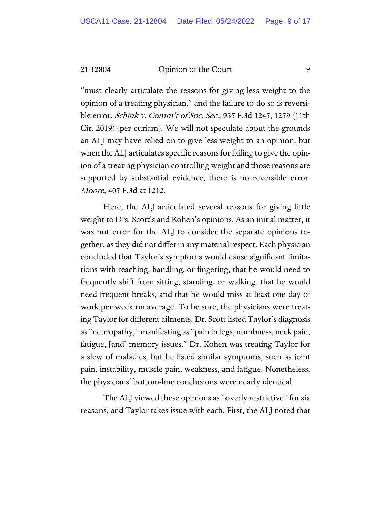"must clearly articulate the reasons for giving less weight to the opinion of a treating physician," and the failure to do so is reversible error. Schink v. Comm'r of Soc. Sec., 935 F.3d 1245, 1259 (11th Cir. 2019) (per curiam). We will not speculate about the grounds an ALJ may have relied on to give less weight to an opinion, but when the ALJ articulates specific reasons for failing to give the opinion of a treating physician controlling weight and those reasons are supported by substantial evidence, there is no reversible error. Moore, 405 F.3d at 1212.

Here, the ALJ articulated several reasons for giving little weight to Drs. Scott's and Kohen's opinions. As an initial matter, it was not error for the ALJ to consider the separate opinions together, as they did not differ in any material respect. Each physician concluded that Taylor's symptoms would cause significant limitations with reaching, handling, or fingering, that he would need to frequently shift from sitting, standing, or walking, that he would need frequent breaks, and that he would miss at least one day of work per week on average. To be sure, the physicians were treating Taylor for different ailments. Dr. Scott listed Taylor's diagnosis as "neuropathy," manifesting as "pain in legs, numbness, neck pain, fatigue, [and] memory issues." Dr. Kohen was treating Taylor for a slew of maladies, but he listed similar symptoms, such as joint pain, instability, muscle pain, weakness, and fatigue. Nonetheless, the physicians' bottom-line conclusions were nearly identical.

The ALJ viewed these opinions as "overly restrictive" for six reasons, and Taylor takes issue with each. First, the ALJ noted that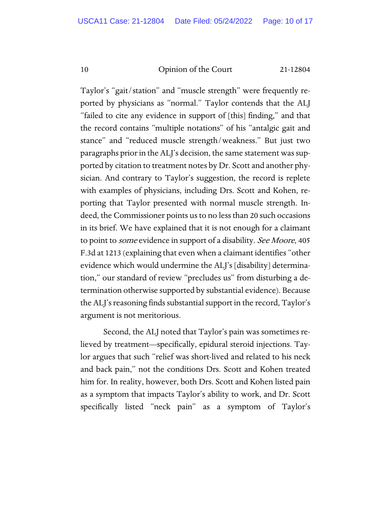Taylor's "gait/station" and "muscle strength" were frequently reported by physicians as "normal." Taylor contends that the ALJ "failed to cite any evidence in support of [this] finding," and that the record contains "multiple notations" of his "antalgic gait and stance" and "reduced muscle strength/weakness." But just two paragraphs prior in the ALJ's decision, the same statement was supported by citation to treatment notes by Dr. Scott and another physician. And contrary to Taylor's suggestion, the record is replete with examples of physicians, including Drs. Scott and Kohen, reporting that Taylor presented with normal muscle strength. Indeed, the Commissioner points us to no less than 20 such occasions in its brief. We have explained that it is not enough for a claimant to point to *some* evidence in support of a disability. See Moore, 405 F.3d at 1213 (explaining that even when a claimant identifies "other evidence which would undermine the ALJ's [disability] determination," our standard of review "precludes us" from disturbing a determination otherwise supported by substantial evidence). Because the ALJ's reasoning finds substantial support in the record, Taylor's argument is not meritorious.

Second, the ALJ noted that Taylor's pain was sometimes relieved by treatment—specifically, epidural steroid injections. Taylor argues that such "relief was short-lived and related to his neck and back pain," not the conditions Drs. Scott and Kohen treated him for. In reality, however, both Drs. Scott and Kohen listed pain as a symptom that impacts Taylor's ability to work, and Dr. Scott specifically listed "neck pain" as a symptom of Taylor's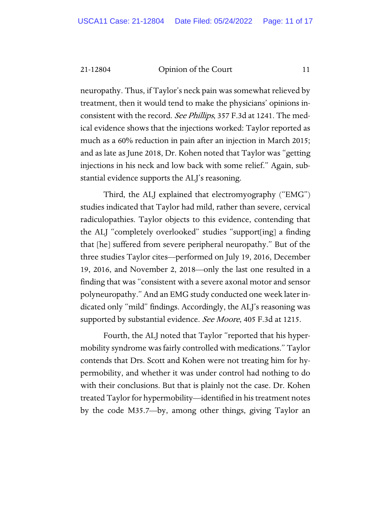neuropathy. Thus, if Taylor's neck pain was somewhat relieved by treatment, then it would tend to make the physicians' opinions inconsistent with the record. See Phillips, 357 F.3d at 1241. The medical evidence shows that the injections worked: Taylor reported as much as a 60% reduction in pain after an injection in March 2015; and as late as June 2018, Dr. Kohen noted that Taylor was "getting injections in his neck and low back with some relief." Again, substantial evidence supports the ALJ's reasoning.

Third, the ALJ explained that electromyography ("EMG") studies indicated that Taylor had mild, rather than severe, cervical radiculopathies. Taylor objects to this evidence, contending that the ALJ "completely overlooked" studies "support[ing] a finding that [he] suffered from severe peripheral neuropathy." But of the three studies Taylor cites—performed on July 19, 2016, December 19, 2016, and November 2, 2018—only the last one resulted in a finding that was "consistent with a severe axonal motor and sensor polyneuropathy." And an EMG study conducted one week later indicated only "mild" findings. Accordingly, the ALJ's reasoning was supported by substantial evidence. See Moore, 405 F.3d at 1215.

Fourth, the ALJ noted that Taylor "reported that his hypermobility syndrome was fairly controlled with medications." Taylor contends that Drs. Scott and Kohen were not treating him for hypermobility, and whether it was under control had nothing to do with their conclusions. But that is plainly not the case. Dr. Kohen treated Taylor for hypermobility—identified in his treatment notes by the code M35.7—by, among other things, giving Taylor an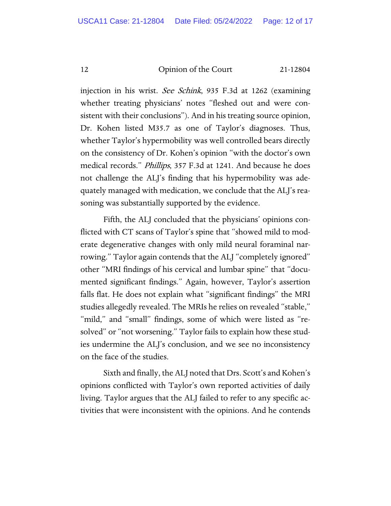injection in his wrist. See Schink, 935 F.3d at 1262 (examining whether treating physicians' notes "fleshed out and were consistent with their conclusions"). And in his treating source opinion, Dr. Kohen listed M35.7 as one of Taylor's diagnoses. Thus, whether Taylor's hypermobility was well controlled bears directly on the consistency of Dr. Kohen's opinion "with the doctor's own medical records." Phillips, 357 F.3d at 1241. And because he does not challenge the ALJ's finding that his hypermobility was adequately managed with medication, we conclude that the ALJ's reasoning was substantially supported by the evidence.

Fifth, the ALJ concluded that the physicians' opinions conflicted with CT scans of Taylor's spine that "showed mild to moderate degenerative changes with only mild neural foraminal narrowing." Taylor again contends that the ALJ "completely ignored" other "MRI findings of his cervical and lumbar spine" that "documented significant findings." Again, however, Taylor's assertion falls flat. He does not explain what "significant findings" the MRI studies allegedly revealed. The MRIs he relies on revealed "stable," "mild," and "small" findings, some of which were listed as "resolved" or "not worsening." Taylor fails to explain how these studies undermine the ALJ's conclusion, and we see no inconsistency on the face of the studies.

Sixth and finally, the ALJ noted that Drs. Scott's and Kohen's opinions conflicted with Taylor's own reported activities of daily living. Taylor argues that the ALJ failed to refer to any specific activities that were inconsistent with the opinions. And he contends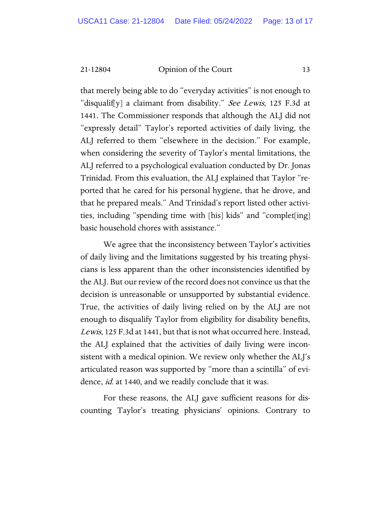that merely being able to do "everyday activities" is not enough to "disqualif[y] a claimant from disability." See Lewis, 125 F.3d at 1441. The Commissioner responds that although the ALJ did not "expressly detail" Taylor's reported activities of daily living, the ALJ referred to them "elsewhere in the decision." For example, when considering the severity of Taylor's mental limitations, the ALJ referred to a psychological evaluation conducted by Dr. Jonas Trinidad. From this evaluation, the ALJ explained that Taylor "reported that he cared for his personal hygiene, that he drove, and that he prepared meals." And Trinidad's report listed other activities, including "spending time with [his] kids" and "complet[ing] basic household chores with assistance."

We agree that the inconsistency between Taylor's activities of daily living and the limitations suggested by his treating physicians is less apparent than the other inconsistencies identified by the ALJ. But our review of the record does not convince us that the decision is unreasonable or unsupported by substantial evidence. True, the activities of daily living relied on by the ALJ are not enough to disqualify Taylor from eligibility for disability benefits, Lewis, 125 F.3d at 1441, but that is not what occurred here. Instead, the ALJ explained that the activities of daily living were inconsistent with a medical opinion. We review only whether the ALJ's articulated reason was supported by "more than a scintilla" of evidence, *id.* at 1440, and we readily conclude that it was.

For these reasons, the ALJ gave sufficient reasons for discounting Taylor's treating physicians' opinions. Contrary to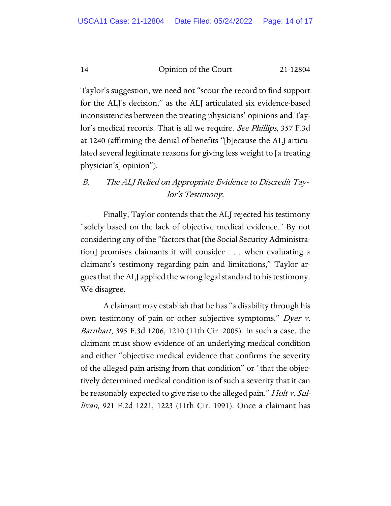Taylor's suggestion, we need not "scour the record to find support for the ALJ's decision," as the ALJ articulated six evidence-based inconsistencies between the treating physicians' opinions and Taylor's medical records. That is all we require. See Phillips, 357 F.3d at 1240 (affirming the denial of benefits "[b]ecause the ALJ articulated several legitimate reasons for giving less weight to [a treating physician's] opinion").

# B. The ALJ Relied on Appropriate Evidence to Discredit Taylor's Testimony.

Finally, Taylor contends that the ALJ rejected his testimony "solely based on the lack of objective medical evidence." By not considering any of the "factors that [the Social Security Administration] promises claimants it will consider . . . when evaluating a claimant's testimony regarding pain and limitations," Taylor argues that the ALJ applied the wrong legal standard to his testimony. We disagree.

A claimant may establish that he has "a disability through his own testimony of pain or other subjective symptoms." Dyer v. Barnhart, 395 F.3d 1206, 1210 (11th Cir. 2005). In such a case, the claimant must show evidence of an underlying medical condition and either "objective medical evidence that confirms the severity of the alleged pain arising from that condition" or "that the objectively determined medical condition is of such a severity that it can be reasonably expected to give rise to the alleged pain." *Holt v. Sul*livan, 921 F.2d 1221, 1223 (11th Cir. 1991). Once a claimant has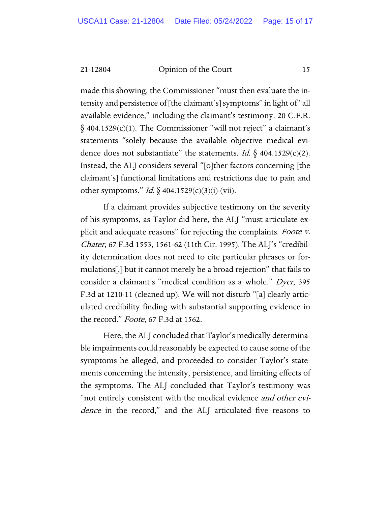made this showing, the Commissioner "must then evaluate the intensity and persistence of [the claimant's] symptoms" in light of "all available evidence," including the claimant's testimony. 20 C.F.R.  $\S$  404.1529(c)(1). The Commissioner "will not reject" a claimant's statements "solely because the available objective medical evidence does not substantiate" the statements. *Id.*  $\S$  404.1529(c)(2). Instead, the ALJ considers several "[o]ther factors concerning [the claimant's] functional limitations and restrictions due to pain and other symptoms." *Id.*  $\oint$  404.1529(c)(3)(i)-(vii).

If a claimant provides subjective testimony on the severity of his symptoms, as Taylor did here, the ALJ "must articulate explicit and adequate reasons" for rejecting the complaints. Foote v. Chater, 67 F.3d 1553, 1561-62 (11th Cir. 1995). The ALJ's "credibility determination does not need to cite particular phrases or formulations[,] but it cannot merely be a broad rejection" that fails to consider a claimant's "medical condition as a whole." Dyer, 395 F.3d at 1210-11 (cleaned up). We will not disturb "[a] clearly articulated credibility finding with substantial supporting evidence in the record." *Foote*, 67 F.3d at 1562.

Here, the ALJ concluded that Taylor's medically determinable impairments could reasonably be expected to cause some of the symptoms he alleged, and proceeded to consider Taylor's statements concerning the intensity, persistence, and limiting effects of the symptoms. The ALJ concluded that Taylor's testimony was "not entirely consistent with the medical evidence *and other evi*dence in the record," and the ALJ articulated five reasons to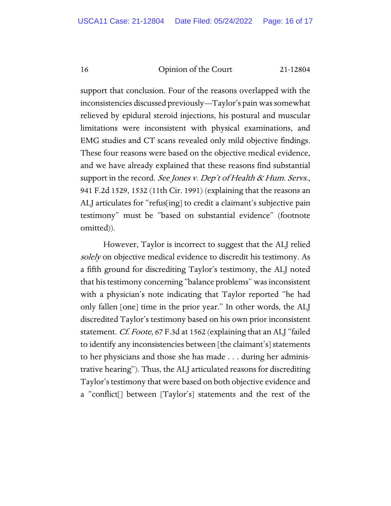support that conclusion. Four of the reasons overlapped with the inconsistencies discussed previously—Taylor's pain was somewhat relieved by epidural steroid injections, his postural and muscular limitations were inconsistent with physical examinations, and EMG studies and CT scans revealed only mild objective findings. These four reasons were based on the objective medical evidence, and we have already explained that these reasons find substantial support in the record. See Jones v. Dep't of Health & Hum. Servs., 941 F.2d 1529, 1532 (11th Cir. 1991) (explaining that the reasons an ALJ articulates for "refus[ing] to credit a claimant's subjective pain testimony" must be "based on substantial evidence" (footnote omitted)).

However, Taylor is incorrect to suggest that the ALJ relied solely on objective medical evidence to discredit his testimony. As a fifth ground for discrediting Taylor's testimony, the ALJ noted that his testimony concerning "balance problems" was inconsistent with a physician's note indicating that Taylor reported "he had only fallen [one] time in the prior year." In other words, the ALJ discredited Taylor's testimony based on his own prior inconsistent statement. *Cf. Foote*, 67 F.3d at 1562 (explaining that an ALJ "failed to identify any inconsistencies between [the claimant's] statements to her physicians and those she has made . . . during her administrative hearing"). Thus, the ALJ articulated reasons for discrediting Taylor's testimony that were based on both objective evidence and a "conflict[] between [Taylor's] statements and the rest of the